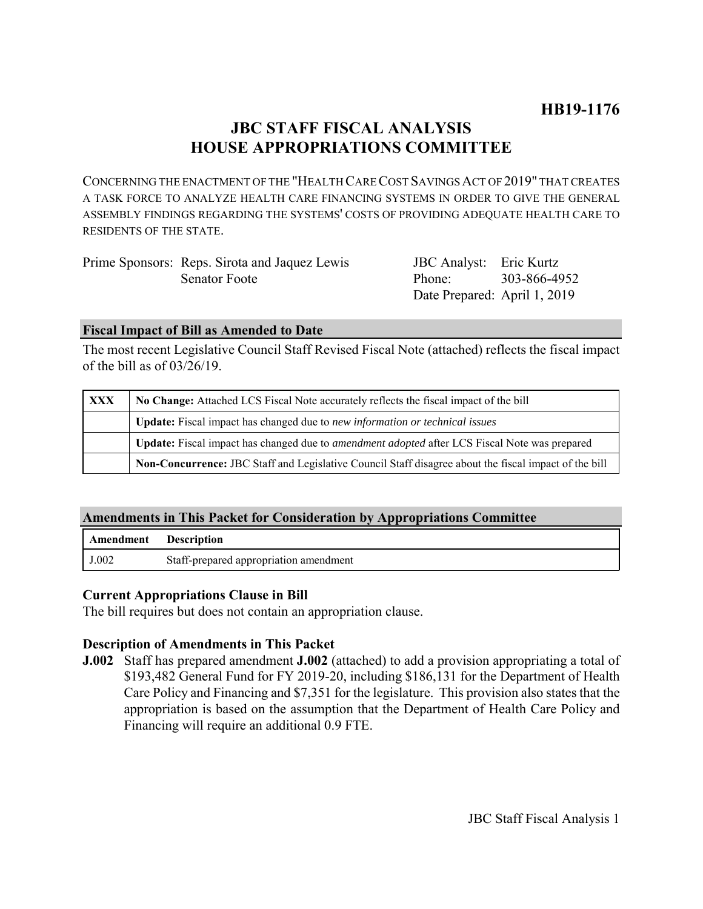# **JBC STAFF FISCAL ANALYSIS HOUSE APPROPRIATIONS COMMITTEE**

CONCERNING THE ENACTMENT OF THE "HEALTH CARE COST SAVINGS ACT OF 2019" THAT CREATES A TASK FORCE TO ANALYZE HEALTH CARE FINANCING SYSTEMS IN ORDER TO GIVE THE GENERAL ASSEMBLY FINDINGS REGARDING THE SYSTEMS' COSTS OF PROVIDING ADEQUATE HEALTH CARE TO RESIDENTS OF THE STATE.

| Prime Sponsors: Reps. Sirota and Jaquez Lewis | JBC Analyst: Eric Kurtz      |  |
|-----------------------------------------------|------------------------------|--|
| Senator Foote                                 | Phone: 303-866-4952          |  |
|                                               | Date Prepared: April 1, 2019 |  |

#### **Fiscal Impact of Bill as Amended to Date**

The most recent Legislative Council Staff Revised Fiscal Note (attached) reflects the fiscal impact of the bill as of 03/26/19.

| XXX | No Change: Attached LCS Fiscal Note accurately reflects the fiscal impact of the bill                 |  |
|-----|-------------------------------------------------------------------------------------------------------|--|
|     | <b>Update:</b> Fiscal impact has changed due to new information or technical issues                   |  |
|     | Update: Fiscal impact has changed due to <i>amendment adopted</i> after LCS Fiscal Note was prepared  |  |
|     | Non-Concurrence: JBC Staff and Legislative Council Staff disagree about the fiscal impact of the bill |  |

### **Amendments in This Packet for Consideration by Appropriations Committee**

| Amendment | <b>Description</b>                     |
|-----------|----------------------------------------|
| J.002     | Staff-prepared appropriation amendment |

#### **Current Appropriations Clause in Bill**

The bill requires but does not contain an appropriation clause.

#### **Description of Amendments in This Packet**

**J.002** Staff has prepared amendment **J.002** (attached) to add a provision appropriating a total of \$193,482 General Fund for FY 2019-20, including \$186,131 for the Department of Health Care Policy and Financing and \$7,351 for the legislature. This provision also states that the appropriation is based on the assumption that the Department of Health Care Policy and Financing will require an additional 0.9 FTE.